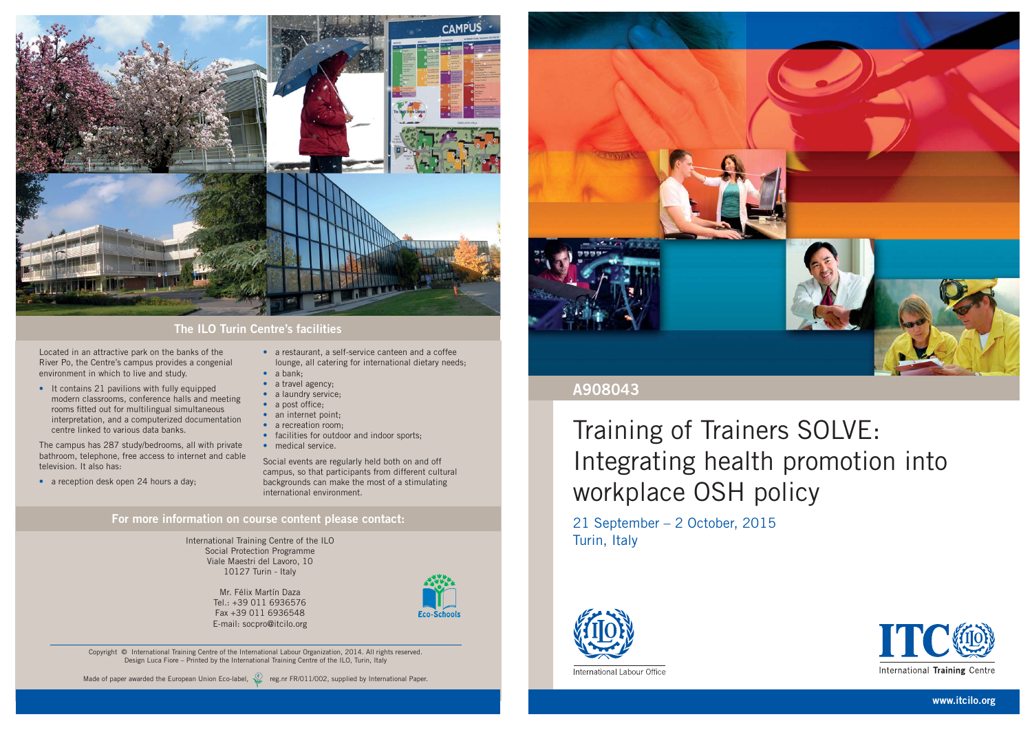International Training Centre of the ILO Social Protection Programme Viale Maestri del Lavoro, 10 10127 Turin - Italy

> Mr. Félix Martín Daza Tel.: +39 011 6936576Fax +39 011 6936548E-mail: socpro@itcilo.org



Located in an attractive park on the banks of the River Po, the Centre's campus provides a congenial environment in which to live and study.

• It contains 21 pavilions with fully equipped modern classrooms, conference halls and meeting rooms fitted out for multilingual simultaneous interpretation, and a computerized documentation centre linked to various data banks.

The campus has 287 study/bedrooms, all with private bathroom, telephone, free access to internet and cable television. It also has:

• a reception desk open 24 hours a day;

- a restaurant, a self-service canteen and a coffee lounge, all catering for international dietary needs;
- a bank;
- a travel agency;
- a laundry service:
- $\bullet$  a post office;
- an internet point:
- a recreation room:
- facilities for outdoor and indoor sports:
- medical service.

Social events are regularly held both on and off campus, so that participants from different cultural backgrounds can make the most of a stimulating international environment.

#### **For more information on course content please contact:**



### **The ILO Turin Centre's facilities**

Copyright © International Training Centre of the International Labour Organization, 2014. All rights reserved. Design Luca Fiore – Printed by the International Training Centre of the ILO, Turin, Italy

Made of paper awarded the European Union Eco-label, reg.nr FR/011/002, supplied by International Paper.



**www.itcilo.org**

## Training of Trainers SOLVE: Integrating health promotion into workplace OSH policy

21 September – 2 October, 2015 Turin, Italy



International Labour Office



International Training Centre

### **A908043**